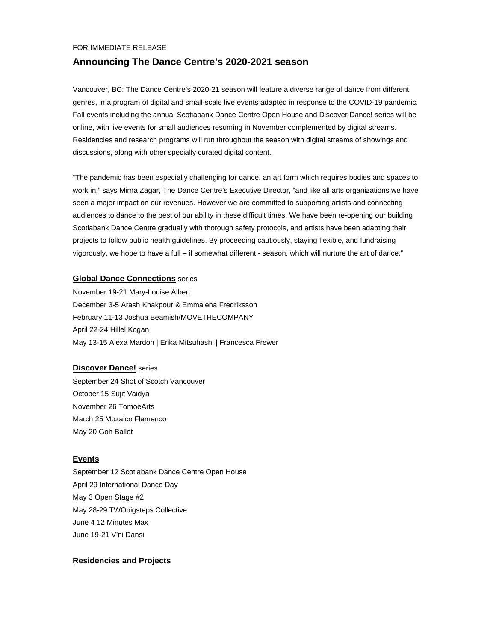#### FOR IMMEDIATE RELEASE

# **Announcing The Dance Centre's 2020-2021 season**

Vancouver, BC: The Dance Centre's 2020-21 season will feature a diverse range of dance from different genres, in a program of digital and small-scale live events adapted in response to the COVID-19 pandemic. Fall events including the annual Scotiabank Dance Centre Open House and Discover Dance! series will be online, with live events for small audiences resuming in November complemented by digital streams. Residencies and research programs will run throughout the season with digital streams of showings and discussions, along with other specially curated digital content.

"The pandemic has been especially challenging for dance, an art form which requires bodies and spaces to work in," says Mirna Zagar, The Dance Centre's Executive Director, "and like all arts organizations we have seen a major impact on our revenues. However we are committed to supporting artists and connecting audiences to dance to the best of our ability in these difficult times. We have been re-opening our building Scotiabank Dance Centre gradually with thorough safety protocols, and artists have been adapting their projects to follow public health guidelines. By proceeding cautiously, staying flexible, and fundraising vigorously, we hope to have a full – if somewhat different - season, which will nurture the art of dance."

#### **Global Dance Connections** series

November 19-21 Mary-Louise Albert December 3-5 Arash Khakpour & Emmalena Fredriksson February 11-13 Joshua Beamish/MOVETHECOMPANY April 22-24 Hillel Kogan May 13-15 Alexa Mardon | Erika Mitsuhashi | Francesca Frewer

#### **Discover Dance!** series

September 24 Shot of Scotch Vancouver October 15 Sujit Vaidya November 26 TomoeArts March 25 Mozaico Flamenco May 20 Goh Ballet

# **Events**

September 12 Scotiabank Dance Centre Open House April 29 International Dance Day May 3 Open Stage #2 May 28-29 TWObigsteps Collective June 4 12 Minutes Max June 19-21 V'ni Dansi

## **Residencies and Projects**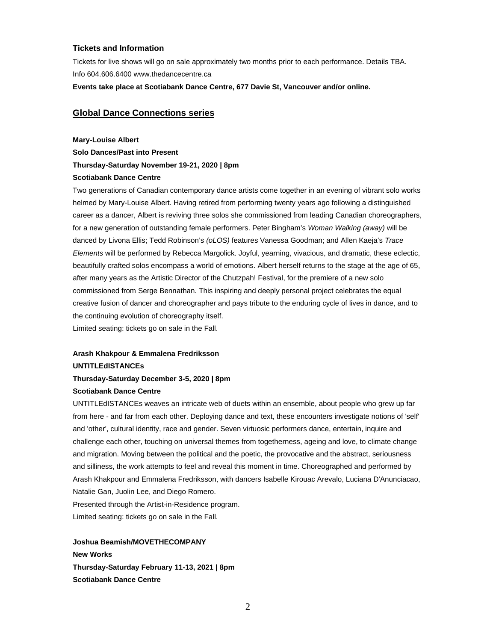## **Tickets and Information**

Tickets for live shows will go on sale approximately two months prior to each performance. Details TBA. Info 604.606.6400 www.thedancecentre.ca

**Events take place at Scotiabank Dance Centre, 677 Davie St, Vancouver and/or online.**

# **Global Dance Connections series**

#### **Mary-Louise Albert**

**Solo Dances/Past into Present Thursday-Saturday November 19-21, 2020 | 8pm Scotiabank Dance Centre**

Two generations of Canadian contemporary dance artists come together in an evening of vibrant solo works helmed by Mary-Louise Albert. Having retired from performing twenty years ago following a distinguished career as a dancer, Albert is reviving three solos she commissioned from leading Canadian choreographers, for a new generation of outstanding female performers. Peter Bingham's *Woman Walking (away)* will be danced by Livona Ellis; Tedd Robinson's *(oLOS)* features Vanessa Goodman; and Allen Kaeja's *Trace Elements* will be performed by Rebecca Margolick. Joyful, yearning, vivacious, and dramatic, these eclectic, beautifully crafted solos encompass a world of emotions. Albert herself returns to the stage at the age of 65, after many years as the Artistic Director of the Chutzpah! Festival, for the premiere of a new solo commissioned from Serge Bennathan. This inspiring and deeply personal project celebrates the equal creative fusion of dancer and choreographer and pays tribute to the enduring cycle of lives in dance, and to the continuing evolution of choreography itself.

Limited seating: tickets go on sale in the Fall.

# **Arash Khakpour & Emmalena Fredriksson UNTITLEdISTANCEs**

# **Thursday-Saturday December 3-5, 2020 | 8pm Scotiabank Dance Centre**

UNTITLEdISTANCEs weaves an intricate web of duets within an ensemble, about people who grew up far from here - and far from each other. Deploying dance and text, these encounters investigate notions of 'self' and 'other', cultural identity, race and gender. Seven virtuosic performers dance, entertain, inquire and challenge each other, touching on universal themes from togetherness, ageing and love, to climate change and migration. Moving between the political and the poetic, the provocative and the abstract, seriousness and silliness, the work attempts to feel and reveal this moment in time. Choreographed and performed by Arash Khakpour and Emmalena Fredriksson, with dancers Isabelle Kirouac Arevalo, Luciana D'Anunciacao, Natalie Gan, Juolin Lee, and Diego Romero.

Presented through the Artist-in-Residence program. Limited seating: tickets go on sale in the Fall.

**Joshua Beamish/MOVETHECOMPANY New Works Thursday-Saturday February 11-13, 2021 | 8pm Scotiabank Dance Centre**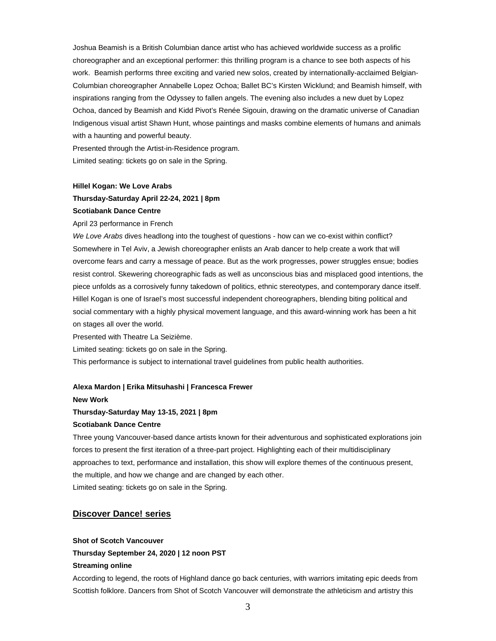Joshua Beamish is a British Columbian dance artist who has achieved worldwide success as a prolific choreographer and an exceptional performer: this thrilling program is a chance to see both aspects of his work. Beamish performs three exciting and varied new solos, created by internationally-acclaimed Belgian-Columbian choreographer Annabelle Lopez Ochoa; Ballet BC's Kirsten Wicklund; and Beamish himself, with inspirations ranging from the Odyssey to fallen angels. The evening also includes a new duet by Lopez Ochoa, danced by Beamish and Kidd Pivot's Renée Sigouin, drawing on the dramatic universe of Canadian Indigenous visual artist Shawn Hunt, whose paintings and masks combine elements of humans and animals with a haunting and powerful beauty.

Presented through the Artist-in-Residence program. Limited seating: tickets go on sale in the Spring.

#### **Hillel Kogan: We Love Arabs**

#### **Thursday-Saturday April 22-24, 2021 | 8pm**

#### **Scotiabank Dance Centre**

#### April 23 performance in French

*We Love Arabs* dives headlong into the toughest of questions - how can we co-exist within conflict? Somewhere in Tel Aviv, a Jewish choreographer enlists an Arab dancer to help create a work that will overcome fears and carry a message of peace. But as the work progresses, power struggles ensue; bodies resist control. Skewering choreographic fads as well as unconscious bias and misplaced good intentions, the piece unfolds as a corrosively funny takedown of politics, ethnic stereotypes, and contemporary dance itself. Hillel Kogan is one of Israel's most successful independent choreographers, blending biting political and social commentary with a highly physical movement language, and this award-winning work has been a hit on stages all over the world.

Presented with Theatre La Seizième.

Limited seating: tickets go on sale in the Spring.

This performance is subject to international travel guidelines from public health authorities.

#### **Alexa Mardon | Erika Mitsuhashi | Francesca Frewer**

## **New Work**

#### **Thursday-Saturday May 13-15, 2021 | 8pm**

#### **Scotiabank Dance Centre**

Three young Vancouver-based dance artists known for their adventurous and sophisticated explorations join forces to present the first iteration of a three-part project. Highlighting each of their multidisciplinary approaches to text, performance and installation, this show will explore themes of the continuous present, the multiple, and how we change and are changed by each other. Limited seating: tickets go on sale in the Spring.

## **Discover Dance! series**

#### **Shot of Scotch Vancouver**

# **Thursday September 24, 2020 | 12 noon PST**

#### **Streaming online**

According to legend, the roots of Highland dance go back centuries, with warriors imitating epic deeds from Scottish folklore. Dancers from Shot of Scotch Vancouver will demonstrate the athleticism and artistry this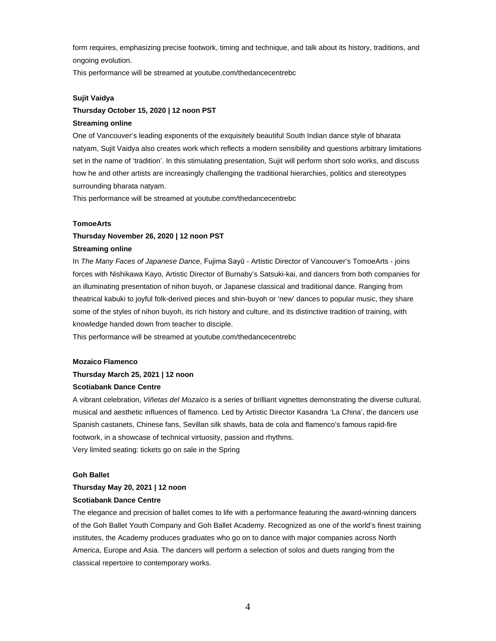form requires, emphasizing precise footwork, timing and technique, and talk about its history, traditions, and ongoing evolution.

This performance will be streamed at youtube.com/thedancecentrebc

#### **Sujit Vaidya**

# **Thursday October 15, 2020 | 12 noon PST Streaming online**

One of Vancouver's leading exponents of the exquisitely beautiful South Indian dance style of bharata natyam, Sujit Vaidya also creates work which reflects a modern sensibility and questions arbitrary limitations set in the name of 'tradition'. In this stimulating presentation, Sujit will perform short solo works, and discuss how he and other artists are increasingly challenging the traditional hierarchies, politics and stereotypes surrounding bharata natyam.

This performance will be streamed at youtube.com/thedancecentrebc

#### **TomoeArts**

## **Thursday November 26, 2020 | 12 noon PST**

#### **Streaming online**

In *The Many Faces of Japanese Dance*, Fujima Sayū - Artistic Director of Vancouver's TomoeArts - joins forces with Nishikawa Kayo, Artistic Director of Burnaby's Satsuki-kai, and dancers from both companies for an illuminating presentation of nihon buyoh, or Japanese classical and traditional dance. Ranging from theatrical kabuki to joyful folk-derived pieces and shin-buyoh or 'new' dances to popular music, they share some of the styles of nihon buyoh, its rich history and culture, and its distinctive tradition of training, with knowledge handed down from teacher to disciple.

This performance will be streamed at youtube.com/thedancecentrebc

#### **Mozaico Flamenco**

## **Thursday March 25, 2021 | 12 noon**

#### **Scotiabank Dance Centre**

A vibrant celebration, *Viñetas del Mozaico* is a series of brilliant vignettes demonstrating the diverse cultural, musical and aesthetic influences of flamenco. Led by Artistic Director Kasandra 'La China', the dancers use Spanish castanets, Chinese fans, Sevillan silk shawls, bata de cola and flamenco's famous rapid-fire footwork, in a showcase of technical virtuosity, passion and rhythms. Very limited seating: tickets go on sale in the Spring

#### **Goh Ballet**

## **Thursday May 20, 2021 | 12 noon**

#### **Scotiabank Dance Centre**

The elegance and precision of ballet comes to life with a performance featuring the award-winning dancers of the Goh Ballet Youth Company and Goh Ballet Academy. Recognized as one of the world's finest training institutes, the Academy produces graduates who go on to dance with major companies across North America, Europe and Asia. The dancers will perform a selection of solos and duets ranging from the classical repertoire to contemporary works.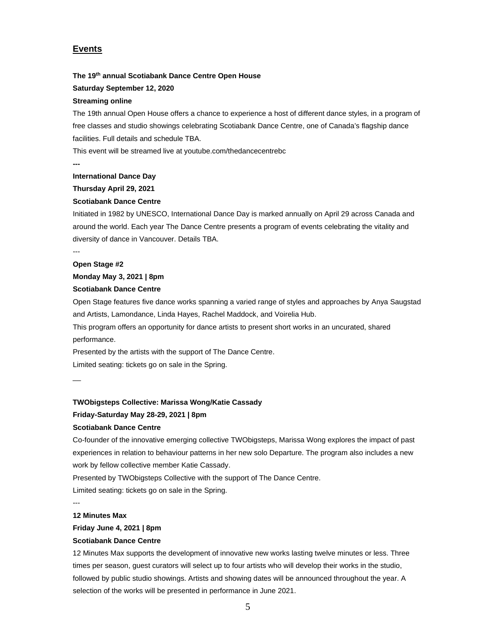# **Events**

## **The 19th annual Scotiabank Dance Centre Open House**

#### **Saturday September 12, 2020**

### **Streaming online**

The 19th annual Open House offers a chance to experience a host of different dance styles, in a program of free classes and studio showings celebrating Scotiabank Dance Centre, one of Canada's flagship dance facilities. Full details and schedule TBA.

This event will be streamed live at youtube.com/thedancecentrebc

**---**

---

#### **International Dance Day**

**Thursday April 29, 2021**

### **Scotiabank Dance Centre**

Initiated in 1982 by UNESCO, International Dance Day is marked annually on April 29 across Canada and around the world. Each year The Dance Centre presents a program of events celebrating the vitality and diversity of dance in Vancouver. Details TBA.

# **Open Stage #2**

#### **Monday May 3, 2021 | 8pm**

## **Scotiabank Dance Centre**

Open Stage features five dance works spanning a varied range of styles and approaches by Anya Saugstad and Artists, Lamondance, Linda Hayes, Rachel Maddock, and Voirelia Hub.

This program offers an opportunity for dance artists to present short works in an uncurated, shared performance.

Presented by the artists with the support of The Dance Centre.

Limited seating: tickets go on sale in the Spring.

\_\_

#### **TWObigsteps Collective: Marissa Wong/Katie Cassady**

# **Friday-Saturday May 28-29, 2021 | 8pm**

#### **Scotiabank Dance Centre**

Co-founder of the innovative emerging collective TWObigsteps, Marissa Wong explores the impact of past experiences in relation to behaviour patterns in her new solo Departure. The program also includes a new work by fellow collective member Katie Cassady.

Presented by TWObigsteps Collective with the support of The Dance Centre.

Limited seating: tickets go on sale in the Spring.

---

## **12 Minutes Max**

#### **Friday June 4, 2021 | 8pm**

## **Scotiabank Dance Centre**

12 Minutes Max supports the development of innovative new works lasting twelve minutes or less. Three times per season, guest curators will select up to four artists who will develop their works in the studio, followed by public studio showings. Artists and showing dates will be announced throughout the year. A selection of the works will be presented in performance in June 2021.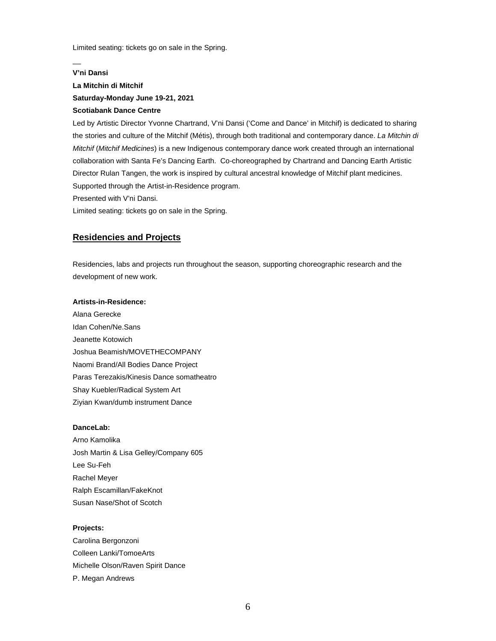Limited seating: tickets go on sale in the Spring.

## **V'ni Dansi**

\_\_

# **La Mitchin di Mitchif Saturday-Monday June 19-21, 2021 Scotiabank Dance Centre**

# Led by Artistic Director Yvonne Chartrand, V'ni Dansi ('Come and Dance' in Mitchif) is dedicated to sharing the stories and culture of the Mitchif (Métis), through both traditional and contemporary dance. *La Mitchin di Mitchif* (*Mitchif Medicines*) is a new Indigenous contemporary dance work created through an international collaboration with Santa Fe's Dancing Earth. Co-choreographed by Chartrand and Dancing Earth Artistic Director Rulan Tangen, the work is inspired by cultural ancestral knowledge of Mitchif plant medicines. Supported through the Artist-in-Residence program.

Presented with V'ni Dansi.

Limited seating: tickets go on sale in the Spring.

# **Residencies and Projects**

Residencies, labs and projects run throughout the season, supporting choreographic research and the development of new work.

## **Artists-in-Residence:**

Alana Gerecke Idan Cohen/Ne.Sans Jeanette Kotowich Joshua Beamish/MOVETHECOMPANY Naomi Brand/All Bodies Dance Project Paras Terezakis/Kinesis Dance somatheatro Shay Kuebler/Radical System Art Ziyian Kwan/dumb instrument Dance

#### **DanceLab:**

Arno Kamolika Josh Martin & Lisa Gelley/Company 605 Lee Su-Feh Rachel Meyer Ralph Escamillan/FakeKnot Susan Nase/Shot of Scotch

#### **Projects:**

Carolina Bergonzoni Colleen Lanki/TomoeArts Michelle Olson/Raven Spirit Dance P. Megan Andrews